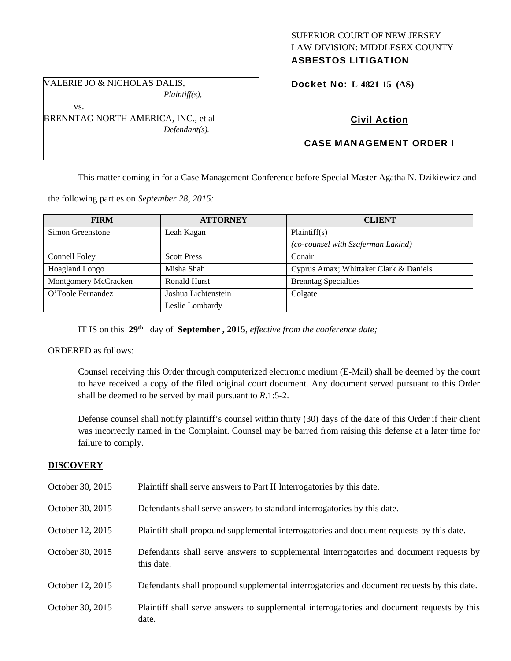### SUPERIOR COURT OF NEW JERSEY LAW DIVISION: MIDDLESEX COUNTY ASBESTOS LITIGATION

VALERIE JO & NICHOLAS DALIS, *Plaintiff(s),* 

vs.

BRENNTAG NORTH AMERICA, INC., et al *Defendant(s).* 

# Docket No: **L-4821-15 (AS)**

# Civil Action

## CASE MANAGEMENT ORDER I

This matter coming in for a Case Management Conference before Special Master Agatha N. Dzikiewicz and

the following parties on *September 28, 2015:* 

| <b>FIRM</b>           | <b>ATTORNEY</b>                        | <b>CLIENT</b>                          |
|-----------------------|----------------------------------------|----------------------------------------|
| Simon Greenstone      | Leah Kagan                             | Plaintiff(s)                           |
|                       |                                        | (co-counsel with Szaferman Lakind)     |
| Connell Foley         | <b>Scott Press</b>                     | Conair                                 |
| <b>Hoagland Longo</b> | Misha Shah                             | Cyprus Amax; Whittaker Clark & Daniels |
| Montgomery McCracken  | <b>Ronald Hurst</b>                    | <b>Brenntag Specialties</b>            |
| O'Toole Fernandez     | Joshua Lichtenstein<br>Leslie Lombardy | Colgate                                |

IT IS on this **29th** day of **September , 2015**, *effective from the conference date;*

ORDERED as follows:

Counsel receiving this Order through computerized electronic medium (E-Mail) shall be deemed by the court to have received a copy of the filed original court document. Any document served pursuant to this Order shall be deemed to be served by mail pursuant to *R*.1:5-2.

Defense counsel shall notify plaintiff's counsel within thirty (30) days of the date of this Order if their client was incorrectly named in the Complaint. Counsel may be barred from raising this defense at a later time for failure to comply.

### **DISCOVERY**

| October 30, 2015 | Plaintiff shall serve answers to Part II Interrogatories by this date.                                |
|------------------|-------------------------------------------------------------------------------------------------------|
| October 30, 2015 | Defendants shall serve answers to standard interrogatories by this date.                              |
| October 12, 2015 | Plaintiff shall propound supplemental interrogatories and document requests by this date.             |
| October 30, 2015 | Defendants shall serve answers to supplemental interrogatories and document requests by<br>this date. |
| October 12, 2015 | Defendants shall propound supplemental interrogatories and document requests by this date.            |
| October 30, 2015 | Plaintiff shall serve answers to supplemental interrogatories and document requests by this<br>date.  |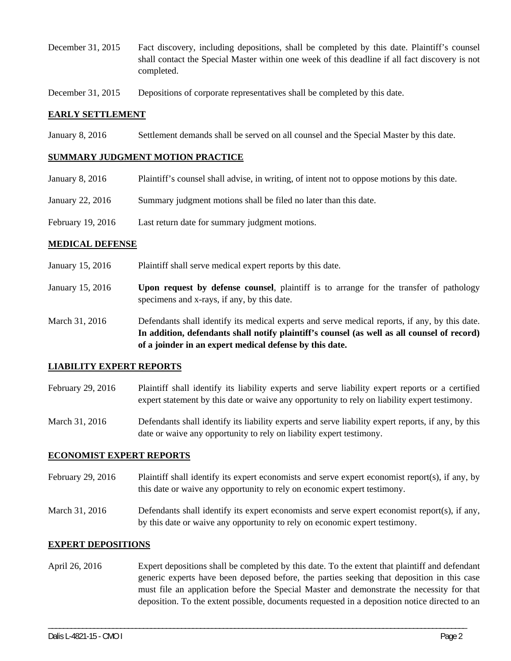- December 31, 2015 Fact discovery, including depositions, shall be completed by this date. Plaintiff's counsel shall contact the Special Master within one week of this deadline if all fact discovery is not completed.
- December 31, 2015 Depositions of corporate representatives shall be completed by this date.

### **EARLY SETTLEMENT**

January 8, 2016 Settlement demands shall be served on all counsel and the Special Master by this date.

### **SUMMARY JUDGMENT MOTION PRACTICE**

- January 8, 2016 Plaintiff's counsel shall advise, in writing, of intent not to oppose motions by this date.
- January 22, 2016 Summary judgment motions shall be filed no later than this date.
- February 19, 2016 Last return date for summary judgment motions.

#### **MEDICAL DEFENSE**

- January 15, 2016 Plaintiff shall serve medical expert reports by this date.
- January 15, 2016 **Upon request by defense counsel**, plaintiff is to arrange for the transfer of pathology specimens and x-rays, if any, by this date.
- March 31, 2016 Defendants shall identify its medical experts and serve medical reports, if any, by this date. **In addition, defendants shall notify plaintiff's counsel (as well as all counsel of record) of a joinder in an expert medical defense by this date.**

#### **LIABILITY EXPERT REPORTS**

- February 29, 2016 Plaintiff shall identify its liability experts and serve liability expert reports or a certified expert statement by this date or waive any opportunity to rely on liability expert testimony.
- March 31, 2016 Defendants shall identify its liability experts and serve liability expert reports, if any, by this date or waive any opportunity to rely on liability expert testimony.

### **ECONOMIST EXPERT REPORTS**

- February 29, 2016 Plaintiff shall identify its expert economists and serve expert economist report(s), if any, by this date or waive any opportunity to rely on economic expert testimony.
- March 31, 2016 Defendants shall identify its expert economists and serve expert economist report(s), if any, by this date or waive any opportunity to rely on economic expert testimony.

### **EXPERT DEPOSITIONS**

April 26, 2016 Expert depositions shall be completed by this date. To the extent that plaintiff and defendant generic experts have been deposed before, the parties seeking that deposition in this case must file an application before the Special Master and demonstrate the necessity for that deposition. To the extent possible, documents requested in a deposition notice directed to an

\_\_\_\_\_\_\_\_\_\_\_\_\_\_\_\_\_\_\_\_\_\_\_\_\_\_\_\_\_\_\_\_\_\_\_\_\_\_\_\_\_\_\_\_\_\_\_\_\_\_\_\_\_\_\_\_\_\_\_\_\_\_\_\_\_\_\_\_\_\_\_\_\_\_\_\_\_\_\_\_\_\_\_\_\_\_\_\_\_\_\_\_\_\_\_\_\_\_\_\_\_\_\_\_\_\_\_\_\_\_